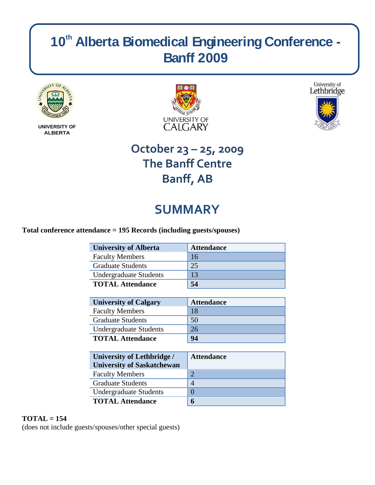# **10th Alberta Biomedical Engineering Conference - Banff 2009**



**UNIVERSITY OF ALBERTA**





## **October 23 – 25, 2009 The Banff Centre Banff, AB**

## **SUMMARY**

## **Total conference attendance = 195 Records (including guests/spouses)**

| <b>University of Alberta</b>  | <b>Attendance</b> |
|-------------------------------|-------------------|
| <b>Faculty Members</b>        | 16                |
| <b>Graduate Students</b>      | 25                |
| <b>Undergraduate Students</b> | 13                |
| <b>TOTAL Attendance</b>       | 54                |

| <b>University of Calgary</b> | <b>Attendance</b> |
|------------------------------|-------------------|
| <b>Faculty Members</b>       | 18                |
| <b>Graduate Students</b>     | 50                |
| Undergraduate Students       | 26                |
| <b>TOTAL Attendance</b>      | 94                |

| <b>University of Lethbridge /</b><br><b>University of Saskatchewan</b> | <b>Attendance</b> |
|------------------------------------------------------------------------|-------------------|
| <b>Faculty Members</b>                                                 | $\bigcirc$        |
| <b>Graduate Students</b>                                               | 4                 |
| <b>Undergraduate Students</b>                                          | $\Omega$          |
| <b>TOTAL Attendance</b>                                                | 6                 |

## **TOTAL = 154**

(does not include guests/spouses/other special guests)